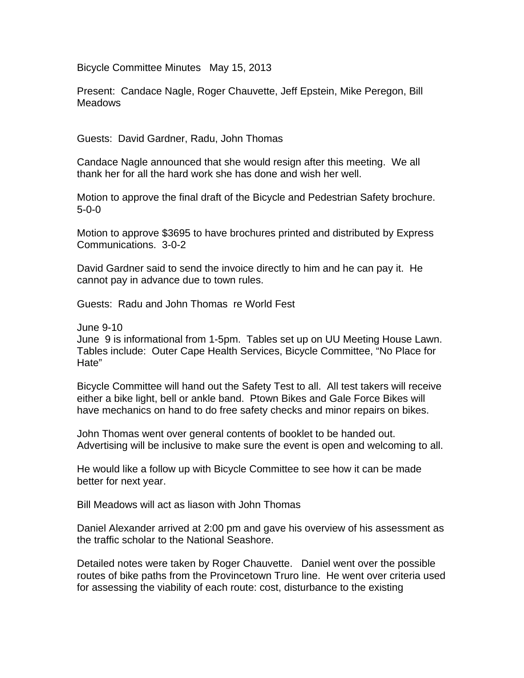Bicycle Committee Minutes May 15, 2013

Present: Candace Nagle, Roger Chauvette, Jeff Epstein, Mike Peregon, Bill **Meadows** 

Guests: David Gardner, Radu, John Thomas

Candace Nagle announced that she would resign after this meeting. We all thank her for all the hard work she has done and wish her well.

Motion to approve the final draft of the Bicycle and Pedestrian Safety brochure. 5-0-0

Motion to approve \$3695 to have brochures printed and distributed by Express Communications. 3-0-2

David Gardner said to send the invoice directly to him and he can pay it. He cannot pay in advance due to town rules.

Guests: Radu and John Thomas re World Fest

June 9-10

June 9 is informational from 1-5pm. Tables set up on UU Meeting House Lawn. Tables include: Outer Cape Health Services, Bicycle Committee, "No Place for Hate"

Bicycle Committee will hand out the Safety Test to all. All test takers will receive either a bike light, bell or ankle band. Ptown Bikes and Gale Force Bikes will have mechanics on hand to do free safety checks and minor repairs on bikes.

John Thomas went over general contents of booklet to be handed out. Advertising will be inclusive to make sure the event is open and welcoming to all.

He would like a follow up with Bicycle Committee to see how it can be made better for next year.

Bill Meadows will act as liason with John Thomas

Daniel Alexander arrived at 2:00 pm and gave his overview of his assessment as the traffic scholar to the National Seashore.

Detailed notes were taken by Roger Chauvette. Daniel went over the possible routes of bike paths from the Provincetown Truro line. He went over criteria used for assessing the viability of each route: cost, disturbance to the existing